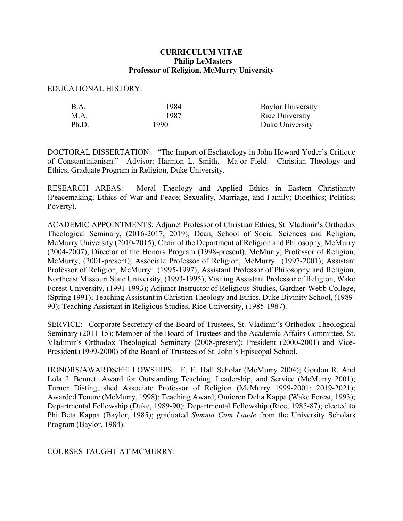## **CURRICULUM VITAE Philip LeMasters Professor of Religion, McMurry University**

EDUCATIONAL HISTORY:

| B.A.  | 1984  | <b>Baylor University</b> |
|-------|-------|--------------------------|
| M.A.  | 1987  | Rice University          |
| Ph.D. | 1990. | Duke University          |

DOCTORAL DISSERTATION: "The Import of Eschatology in John Howard Yoder's Critique of Constantinianism." Advisor: Harmon L. Smith. Major Field: Christian Theology and Ethics, Graduate Program in Religion, Duke University.

RESEARCH AREAS: Moral Theology and Applied Ethics in Eastern Christianity (Peacemaking; Ethics of War and Peace; Sexuality, Marriage, and Family; Bioethics; Politics; Poverty).

ACADEMIC APPOINTMENTS: Adjunct Professor of Christian Ethics, St. Vladimir's Orthodox Theological Seminary, (2016-2017; 2019); Dean, School of Social Sciences and Religion, McMurry University (2010-2015); Chair of the Department of Religion and Philosophy, McMurry (2004-2007); Director of the Honors Program (1998-present), McMurry; Professor of Religion, McMurry, (2001-present); Associate Professor of Religion, McMurry (1997-2001); Assistant Professor of Religion, McMurry (1995-1997); Assistant Professor of Philosophy and Religion, Northeast Missouri State University, (1993-1995); Visiting Assistant Professor of Religion, Wake Forest University, (1991-1993); Adjunct Instructor of Religious Studies, Gardner-Webb College, (Spring 1991); Teaching Assistant in Christian Theology and Ethics, Duke Divinity School, (1989- 90); Teaching Assistant in Religious Studies, Rice University, (1985-1987).

SERVICE: Corporate Secretary of the Board of Trustees, St. Vladimir's Orthodox Theological Seminary (2011-15); Member of the Board of Trustees and the Academic Affairs Committee, St. Vladimir's Orthodox Theological Seminary (2008-present); President (2000-2001) and Vice-President (1999-2000) of the Board of Trustees of St. John's Episcopal School.

HONORS/AWARDS/FELLOWSHIPS: E. E. Hall Scholar (McMurry 2004); Gordon R. And Lola J. Bennett Award for Outstanding Teaching, Leadership, and Service (McMurry 2001); Turner Distinguished Associate Professor of Religion (McMurry 1999-2001; 2019-2021); Awarded Tenure (McMurry, 1998); Teaching Award, Omicron Delta Kappa (Wake Forest, 1993); Departmental Fellowship (Duke, 1989-90); Departmental Fellowship (Rice, 1985-87); elected to Phi Beta Kappa (Baylor, 1985); graduated *Summa Cum Laude* from the University Scholars Program (Baylor, 1984).

COURSES TAUGHT AT MCMURRY: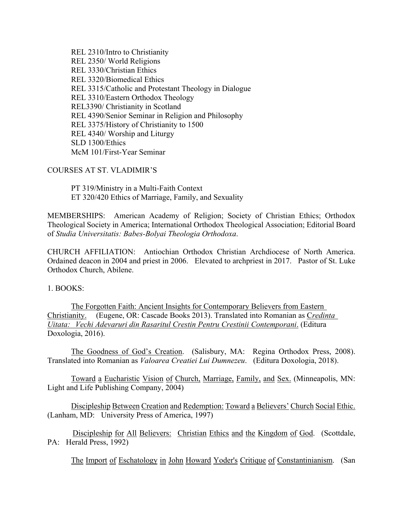REL 2310/Intro to Christianity REL 2350/ World Religions REL 3330/Christian Ethics REL 3320/Biomedical Ethics REL 3315/Catholic and Protestant Theology in Dialogue REL 3310/Eastern Orthodox Theology REL3390/ Christianity in Scotland REL 4390/Senior Seminar in Religion and Philosophy REL 3375/History of Christianity to 1500 REL 4340/ Worship and Liturgy SLD 1300/Ethics McM 101/First-Year Seminar

COURSES AT ST. VLADIMIR'S

PT 319/Ministry in a Multi-Faith Context ET 320/420 Ethics of Marriage, Family, and Sexuality

MEMBERSHIPS: American Academy of Religion; Society of Christian Ethics; Orthodox Theological Society in America; International Orthodox Theological Association; Editorial Board of *Studia Universitatis: Babes-Bolyai Theologia Orthodoxa*.

CHURCH AFFILIATION: Antiochian Orthodox Christian Archdiocese of North America. Ordained deacon in 2004 and priest in 2006. Elevated to archpriest in 2017. Pastor of St. Luke Orthodox Church, Abilene.

1. BOOKS:

The Forgotten Faith: Ancient Insights for Contemporary Believers from Eastern Christianity. (Eugene, OR: Cascade Books 2013). Translated into Romanian as C*redinta Uitata: Vechi Adevaruri din Rasaritul Crestin Pentru Crestinii Contemporani*. (Editura Doxologia, 2016).

The Goodness of God's Creation. (Salisbury, MA: Regina Orthodox Press, 2008). Translated into Romanian as *Valoarea Creatiei Lui Dumnezeu*. (Editura Doxologia, 2018).

Toward a Eucharistic Vision of Church, Marriage, Family, and Sex. (Minneapolis, MN: Light and Life Publishing Company, 2004)

Discipleship Between Creation and Redemption: Toward a Believers' Church Social Ethic. (Lanham, MD: University Press of America, 1997)

 Discipleship for All Believers: Christian Ethics and the Kingdom of God. (Scottdale, PA: Herald Press, 1992)

The Import of Eschatology in John Howard Yoder's Critique of Constantinianism. (San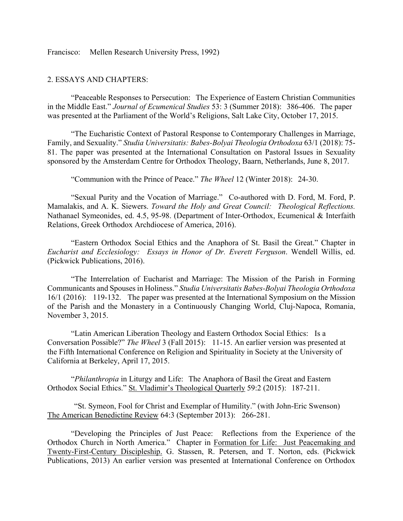Francisco: Mellen Research University Press, 1992)

## 2. ESSAYS AND CHAPTERS:

"Peaceable Responses to Persecution: The Experience of Eastern Christian Communities in the Middle East." *Journal of Ecumenical Studies* 53: 3 (Summer 2018): 386-406. The paper was presented at the Parliament of the World's Religions, Salt Lake City, October 17, 2015.

"The Eucharistic Context of Pastoral Response to Contemporary Challenges in Marriage, Family, and Sexuality." *Studia Universitatis: Babes-Bolyai Theologia Orthodoxa* 63/1 (2018): 75- 81. The paper was presented at the International Consultation on Pastoral Issues in Sexuality sponsored by the Amsterdam Centre for Orthodox Theology, Baarn, Netherlands, June 8, 2017.

"Communion with the Prince of Peace." *The Wheel* 12 (Winter 2018): 24-30.

"Sexual Purity and the Vocation of Marriage." Co-authored with D. Ford, M. Ford, P. Mamalakis, and A. K. Siewers. *Toward the Holy and Great Council: Theological Reflections.*  Nathanael Symeonides, ed. 4.5, 95-98. (Department of Inter-Orthodox, Ecumenical & Interfaith Relations, Greek Orthodox Archdiocese of America, 2016).

"Eastern Orthodox Social Ethics and the Anaphora of St. Basil the Great." Chapter in *Eucharist and Ecclesiology: Essays in Honor of Dr. Everett Ferguson*. Wendell Willis, ed. (Pickwick Publications, 2016).

"The Interrelation of Eucharist and Marriage: The Mission of the Parish in Forming Communicants and Spouses in Holiness." *Studia Universitatis Babes-Bolyai Theologia Orthodoxa* 16/1 (2016): 119-132. The paper was presented at the International Symposium on the Mission of the Parish and the Monastery in a Continuously Changing World, Cluj-Napoca, Romania, November 3, 2015.

"Latin American Liberation Theology and Eastern Orthodox Social Ethics: Is a Conversation Possible?" *The Wheel* 3 (Fall 2015): 11-15. An earlier version was presented at the Fifth International Conference on Religion and Spirituality in Society at the University of California at Berkeley, April 17, 2015.

"*Philanthropia* in Liturgy and Life: The Anaphora of Basil the Great and Eastern Orthodox Social Ethics." St. Vladimir's Theological Quarterly 59:2 (2015): 187-211.

"St. Symeon, Fool for Christ and Exemplar of Humility." (with John-Eric Swenson) The American Benedictine Review 64:3 (September 2013): 266-281.

"Developing the Principles of Just Peace: Reflections from the Experience of the Orthodox Church in North America." Chapter in Formation for Life: Just Peacemaking and Twenty-First-Century Discipleship. G. Stassen, R. Petersen, and T. Norton, eds. (Pickwick Publications, 2013) An earlier version was presented at International Conference on Orthodox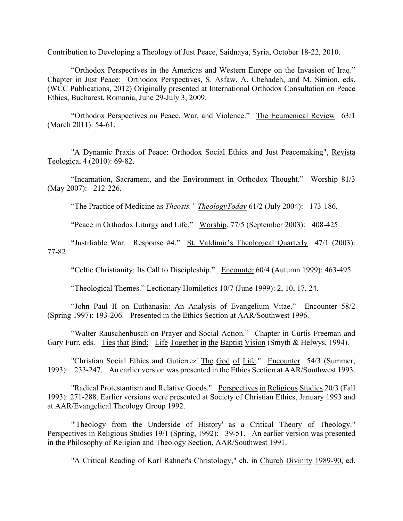Contribution to Developing a Theology of Just Peace, Saidnaya, Syria, October 18-22, 2010.

"Orthodox Perspectives in the Americas and Western Europe on the Invasion of Iraq." Chapter in Just Peace: Orthodox Perspectives, S. Asfaw, A. Chehadeh, and M. Simion, eds. (WCC Publications, 2012) Originally presented at International Orthodox Consultation on Peace Ethics, Bucharest, Romania, June 29-July 3, 2009.

"Orthodox Perspectives on Peace, War, and Violence." The Ecumenical Review 63/1 (March 2011): 54-61.

"A Dynamic Praxis of Peace: Orthodox Social Ethics and Just Peacemaking", Revista Teologica, 4 (2010): 69-82.

"Incarnation, Sacrament, and the Environment in Orthodox Thought." Worship 81/3 (May 2007): 212-226.

"The Practice of Medicine as *Theosis." TheologyToday* 61/2 (July 2004): 173-186.

"Peace in Orthodox Liturgy and Life." Worship. 77/5 (September 2003): 408-425.

"Justifiable War: Response #4." St. Valdimir's Theological Quarterly47/1 (2003): 77-82

"Celtic Christianity: Its Call to Discipleship." Encounter 60/4 (Autumn 1999): 463-495.

"Theological Themes." Lectionary Homiletics 10/7 (June 1999): 2, 10, 17, 24.

"John Paul II on Euthanasia: An Analysis of Evangelium Vitae." Encounter 58/2 (Spring 1997): 193-206. Presented in the Ethics Section at AAR/Southwest 1996.

"Walter Rauschenbusch on Prayer and Social Action." Chapter in Curtis Freeman and Gary Furr, eds. Ties that Bind: Life Together in the Baptist Vision (Smyth & Helwys, 1994).

"Christian Social Ethics and Gutierrez' The God of Life." Encounter 54/3 (Summer, 1993): 233-247. An earlier version was presented in the Ethics Section at AAR/Southwest 1993.

"Radical Protestantism and Relative Goods." Perspectives in Religious Studies 20/3 (Fall 1993): 271-288. Earlier versions were presented at Society of Christian Ethics, January 1993 and at AAR/Evangelical Theology Group 1992.

"'Theology from the Underside of History' as a Critical Theory of Theology." Perspectives in Religious Studies 19/1 (Spring, 1992): 39-51. An earlier version was presented in the Philosophy of Religion and Theology Section, AAR/Southwest 1991.

"A Critical Reading of Karl Rahner's Christology," ch. in Church Divinity 1989-90, ed.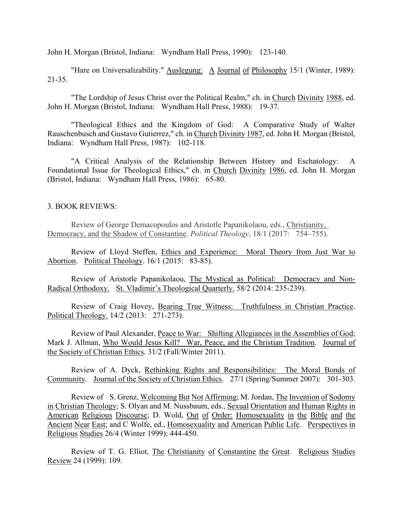John H. Morgan (Bristol, Indiana: Wyndham Hall Press, 1990): 123-140.

"Hare on Universalizability." Auslegung: A Journal of Philosophy 15/1 (Winter, 1989): 21-35.

"The Lordship of Jesus Christ over the Political Realm," ch. in Church Divinity 1988, ed. John H. Morgan (Bristol, Indiana: Wyndham Hall Press, 1988): 19-37.

"Theological Ethics and the Kingdom of God: A Comparative Study of Walter Rauschenbusch and Gustavo Gutierrez," ch. in Church Divinity 1987, ed. John H. Morgan (Bristol, Indiana: Wyndham Hall Press, 1987): 102-118.

"A Critical Analysis of the Relationship Between History and Eschatology: A Foundational Issue for Theological Ethics," ch. in Church Divinity 1986, ed. John H. Morgan (Bristol, Indiana: Wyndham Hall Press, 1986): 65-80.

## 3. BOOK REVIEWS:

Review of George Demacopoulos and Aristotle Papanikolaou, eds., Christianity, Democracy, and the Shadow of Constantine. *Political Theology*, 18/1 (2017: 754–755).

Review of Lloyd Steffen, Ethics and Experience: Moral Theory from Just War to Abortion. Political Theology. 16/1 (2015: 83-85).

Review of Aristotle Papanikolaou, The Mystical as Political: Democracy and Non-Radical Orthodoxy. St. Vladimir's Theological Quarterly. 58/2 (2014: 235-239).

Review of Craig Hovey, Bearing True Witness: Truthfulness in Christian Practice. Political Theology. 14/2 (2013: 271-273).

Review of Paul Alexander, Peace to War: Shifting Allegiances in the Assemblies of God; Mark J. Allman, Who Would Jesus Kill? War, Peace, and the Christian Tradition. Journal of the Society of Christian Ethics. 31/2 (Fall/Winter 2011).

Review of A. Dyck, Rethinking Rights and Responsibilities: The Moral Bonds of Community. Journal of the Society of Christian Ethics. 27/1 (Spring/Summer 2007): 301-303.

Review of S. Grenz, Welcoming But Not Affirming; M. Jordan, The Invention of Sodomy in Christian Theology; S. Olyan and M. Nussbaum, eds., Sexual Orientation and Human Rights in American Religious Discourse; D. Wold, Out of Order: Homosexuality in the Bible and the Ancient Near East; and C Wolfe, ed., Homosexuality and American Public Life. Perspectives in Religious Studies 26/4 (Winter 1999): 444-450.

Review of T. G. Elliot, The Christianity of Constantine the Great. Religious Studies Review 24 (1999): 109.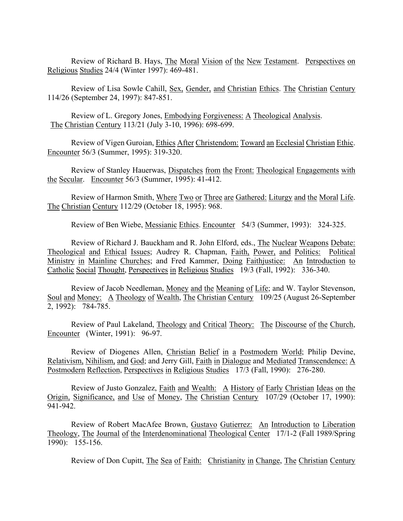Review of Richard B. Hays, The Moral Vision of the New Testament. Perspectives on Religious Studies 24/4 (Winter 1997): 469-481.

Review of Lisa Sowle Cahill, Sex, Gender, and Christian Ethics. The Christian Century 114/26 (September 24, 1997): 847-851.

Review of L. Gregory Jones, Embodying Forgiveness: A Theological Analysis. The Christian Century 113/21 (July 3-10, 1996): 698-699.

Review of Vigen Guroian, Ethics After Christendom: Toward an Ecclesial Christian Ethic. Encounter 56/3 (Summer, 1995): 319-320.

Review of Stanley Hauerwas, Dispatches from the Front: Theological Engagements with the Secular. Encounter 56/3 (Summer, 1995): 41-412.

Review of Harmon Smith, Where Two or Three are Gathered: Liturgy and the Moral Life. The Christian Century 112/29 (October 18, 1995): 968.

Review of Ben Wiebe, Messianic Ethics. Encounter 54/3 (Summer, 1993): 324-325.

Review of Richard J. Bauckham and R. John Elford, eds., The Nuclear Weapons Debate: Theological and Ethical Issues; Audrey R. Chapman, Faith, Power, and Politics: Political Ministry in Mainline Churches; and Fred Kammer, Doing Faithjustice: An Introduction to Catholic Social Thought, Perspectives in Religious Studies 19/3 (Fall, 1992): 336-340.

Review of Jacob Needleman, Money and the Meaning of Life; and W. Taylor Stevenson, Soul and Money: A Theology of Wealth, The Christian Century 109/25 (August 26-September 2, 1992): 784-785.

Review of Paul Lakeland, Theology and Critical Theory: The Discourse of the Church, Encounter (Winter, 1991): 96-97.

Review of Diogenes Allen, Christian Belief in a Postmodern World; Philip Devine, Relativism, Nihilism, and God; and Jerry Gill, Faith in Dialogue and Mediated Transcendence: A Postmodern Reflection, Perspectives in Religious Studies 17/3 (Fall, 1990): 276-280.

Review of Justo Gonzalez, Faith and Wealth: A History of Early Christian Ideas on the Origin, Significance, and Use of Money, The Christian Century 107/29 (October 17, 1990): 941-942.

Review of Robert MacAfee Brown, Gustavo Gutierrez: An Introduction to Liberation Theology, The Journal of the Interdenominational Theological Center 17/1-2 (Fall 1989/Spring 1990): 155-156.

Review of Don Cupitt, The Sea of Faith: Christianity in Change, The Christian Century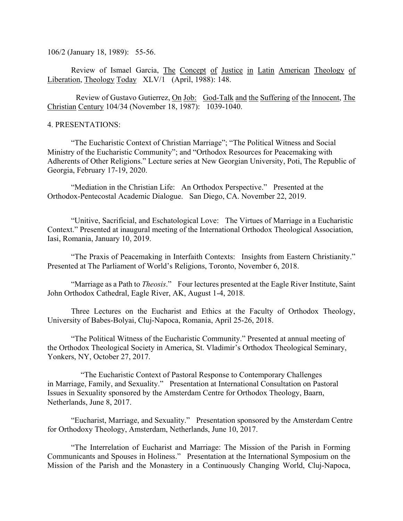106/2 (January 18, 1989): 55-56.

Review of Ismael Garcia, The Concept of Justice in Latin American Theology of Liberation, Theology Today XLV/1 (April, 1988): 148.

Review of Gustavo Gutierrez, On Job: God-Talk and the Suffering of the Innocent, The Christian Century 104/34 (November 18, 1987): 1039-1040.

## 4. PRESENTATIONS:

"The Eucharistic Context of Christian Marriage"; "The Political Witness and Social Ministry of the Eucharistic Community"; and "Orthodox Resources for Peacemaking with Adherents of Other Religions." Lecture series at New Georgian University, Poti, The Republic of Georgia, February 17-19, 2020.

"Mediation in the Christian Life: An Orthodox Perspective." Presented at the Orthodox-Pentecostal Academic Dialogue. San Diego, CA. November 22, 2019.

"Unitive, Sacrificial, and Eschatological Love: The Virtues of Marriage in a Eucharistic Context." Presented at inaugural meeting of the International Orthodox Theological Association, Iasi, Romania, January 10, 2019.

"The Praxis of Peacemaking in Interfaith Contexts: Insights from Eastern Christianity." Presented at The Parliament of World's Religions, Toronto, November 6, 2018.

"Marriage as a Path to *Theosis*." Four lectures presented at the Eagle River Institute, Saint John Orthodox Cathedral, Eagle River, AK, August 1-4, 2018.

Three Lectures on the Eucharist and Ethics at the Faculty of Orthodox Theology, University of Babes-Bolyai, Cluj-Napoca, Romania, April 25-26, 2018.

"The Political Witness of the Eucharistic Community." Presented at annual meeting of the Orthodox Theological Society in America, St. Vladimir's Orthodox Theological Seminary, Yonkers, NY, October 27, 2017.

"The Eucharistic Context of Pastoral Response to Contemporary Challenges in Marriage, Family, and Sexuality." Presentation at International Consultation on Pastoral Issues in Sexuality sponsored by the Amsterdam Centre for Orthodox Theology, Baarn, Netherlands, June 8, 2017.

"Eucharist, Marriage, and Sexuality." Presentation sponsored by the Amsterdam Centre for Orthodoxy Theology, Amsterdam, Netherlands, June 10, 2017.

"The Interrelation of Eucharist and Marriage: The Mission of the Parish in Forming Communicants and Spouses in Holiness." Presentation at the International Symposium on the Mission of the Parish and the Monastery in a Continuously Changing World, Cluj-Napoca,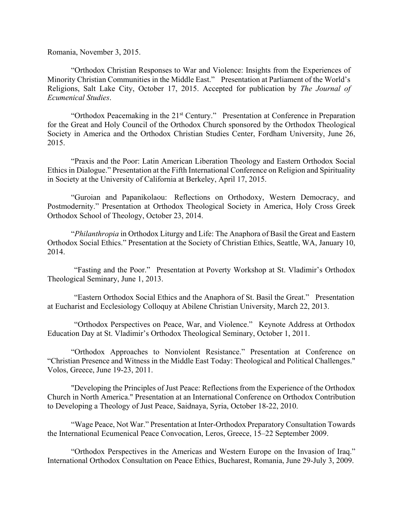Romania, November 3, 2015.

"Orthodox Christian Responses to War and Violence: Insights from the Experiences of Minority Christian Communities in the Middle East." Presentation at Parliament of the World's Religions, Salt Lake City, October 17, 2015. Accepted for publication by *The Journal of Ecumenical Studies*.

"Orthodox Peacemaking in the 21<sup>st</sup> Century." Presentation at Conference in Preparation for the Great and Holy Council of the Orthodox Church sponsored by the Orthodox Theological Society in America and the Orthodox Christian Studies Center, Fordham University, June 26, 2015.

"Praxis and the Poor: Latin American Liberation Theology and Eastern Orthodox Social Ethics in Dialogue." Presentation at the Fifth International Conference on Religion and Spirituality in Society at the University of California at Berkeley, April 17, 2015.

"Guroian and Papanikolaou: Reflections on Orthodoxy, Western Democracy, and Postmodernity." Presentation at Orthodox Theological Society in America, Holy Cross Greek Orthodox School of Theology, October 23, 2014.

"*Philanthropia* in Orthodox Liturgy and Life: The Anaphora of Basil the Great and Eastern Orthodox Social Ethics." Presentation at the Society of Christian Ethics, Seattle, WA, January 10, 2014.

"Fasting and the Poor." Presentation at Poverty Workshop at St. Vladimir's Orthodox Theological Seminary, June 1, 2013.

"Eastern Orthodox Social Ethics and the Anaphora of St. Basil the Great." Presentation at Eucharist and Ecclesiology Colloquy at Abilene Christian University, March 22, 2013.

"Orthodox Perspectives on Peace, War, and Violence." Keynote Address at Orthodox Education Day at St. Vladimir's Orthodox Theological Seminary, October 1, 2011.

"Orthodox Approaches to Nonviolent Resistance." Presentation at Conference on "Christian Presence and Witness in the Middle East Today: Theological and Political Challenges." Volos, Greece, June 19-23, 2011.

"Developing the Principles of Just Peace: Reflections from the Experience of the Orthodox Church in North America." Presentation at an International Conference on Orthodox Contribution to Developing a Theology of Just Peace, Saidnaya, Syria, October 18-22, 2010.

"Wage Peace, Not War." Presentation at Inter-Orthodox Preparatory Consultation Towards the International Ecumenical Peace Convocation, Leros, Greece, 15–22 September 2009.

"Orthodox Perspectives in the Americas and Western Europe on the Invasion of Iraq." International Orthodox Consultation on Peace Ethics, Bucharest, Romania, June 29-July 3, 2009.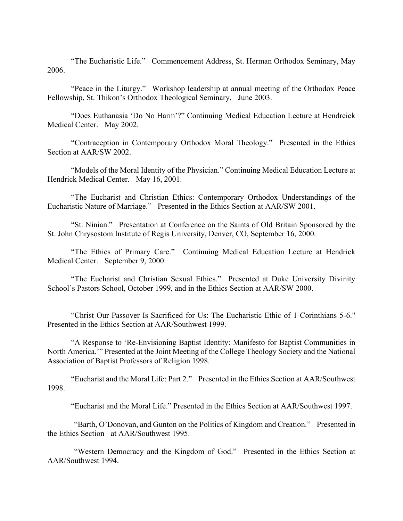"The Eucharistic Life." Commencement Address, St. Herman Orthodox Seminary, May 2006.

"Peace in the Liturgy." Workshop leadership at annual meeting of the Orthodox Peace Fellowship, St. Thikon's Orthodox Theological Seminary. June 2003.

"Does Euthanasia 'Do No Harm'?" Continuing Medical Education Lecture at Hendreick Medical Center. May 2002.

"Contraception in Contemporary Orthodox Moral Theology." Presented in the Ethics Section at AAR/SW 2002.

"Models of the Moral Identity of the Physician." Continuing Medical Education Lecture at Hendrick Medical Center. May 16, 2001.

"The Eucharist and Christian Ethics: Contemporary Orthodox Understandings of the Eucharistic Nature of Marriage." Presented in the Ethics Section at AAR/SW 2001.

"St. Ninian." Presentation at Conference on the Saints of Old Britain Sponsored by the St. John Chrysostom Institute of Regis University, Denver, CO, September 16, 2000.

"The Ethics of Primary Care." Continuing Medical Education Lecture at Hendrick Medical Center. September 9, 2000.

"The Eucharist and Christian Sexual Ethics." Presented at Duke University Divinity School's Pastors School, October 1999, and in the Ethics Section at AAR/SW 2000.

"Christ Our Passover Is Sacrificed for Us: The Eucharistic Ethic of 1 Corinthians 5-6." Presented in the Ethics Section at AAR/Southwest 1999.

"A Response to 'Re-Envisioning Baptist Identity: Manifesto for Baptist Communities in North America.'" Presented at the Joint Meeting of the College Theology Society and the National Association of Baptist Professors of Religion 1998.

"Eucharist and the Moral Life: Part 2." Presented in the Ethics Section at AAR/Southwest 1998.

"Eucharist and the Moral Life." Presented in the Ethics Section at AAR/Southwest 1997.

"Barth, O'Donovan, and Gunton on the Politics of Kingdom and Creation." Presented in the Ethics Section at AAR/Southwest 1995.

"Western Democracy and the Kingdom of God." Presented in the Ethics Section at AAR/Southwest 1994.